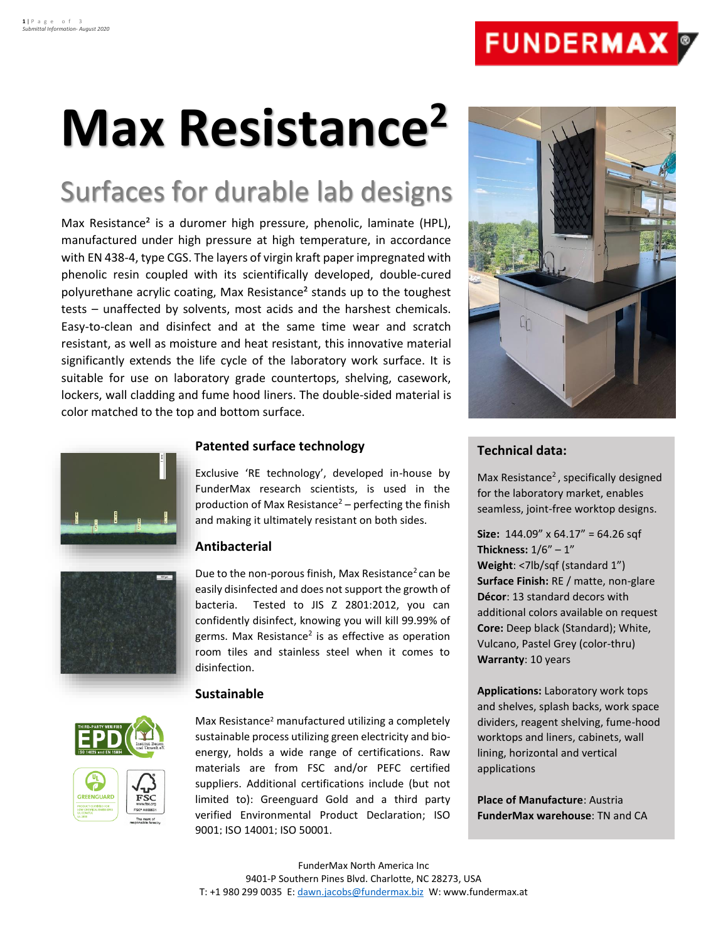

# **Max Resistance<sup>2</sup>**

# Surfaces for durable lab designs

Max Resistance<sup>2</sup> is a duromer high pressure, phenolic, laminate (HPL), manufactured under high pressure at high temperature, in accordance with EN 438-4, type CGS. The layers of virgin kraft paper impregnated with phenolic resin coupled with its scientifically developed, double-cured polyurethane acrylic coating, Max Resistance² stands up to the toughest tests – unaffected by solvents, most acids and the harshest chemicals. Easy-to-clean and disinfect and at the same time wear and scratch resistant, as well as moisture and heat resistant, this innovative material significantly extends the life cycle of the laboratory work surface. It is suitable for use on laboratory grade countertops, shelving, casework, lockers, wall cladding and fume hood liners. The double-sided material is color matched to the top and bottom surface.



## **Technical data:**

Max Resistance<sup>2</sup>, specifically designed for the laboratory market, enables seamless, joint-free worktop designs.

**Size:** 144.09" x 64.17" = 64.26 sqf **Thickness:**  $1/6" - 1"$ **Weight**: <7lb/sqf (standard 1") **Surface Finish:** RE / matte, non-glare **Décor**: 13 standard decors with additional colors available on request **Core:** Deep black (Standard); White, Vulcano, Pastel Grey (color-thru) **Warranty**: 10 years

**Applications:** Laboratory work tops and shelves, splash backs, work space dividers, reagent shelving, fume-hood worktops and liners, cabinets, wall lining, horizontal and vertical applications

**Place of Manufacture**: Austria **FunderMax warehouse**: TN and CA



# **Patented surface technology**

Exclusive 'RE technology', developed in-house by FunderMax research scientists, is used in the production of Max Resistance<sup>2</sup> – perfecting the finish and making it ultimately resistant on both sides.

#### **Antibacterial**

Due to the non-porous finish, Max Resistance<sup>2</sup> can be easily disinfected and does not support the growth of bacteria. Tested to JIS Z 2801:2012, you can confidently disinfect, knowing you will kill 99.99% of germs. Max Resistance<sup>2</sup> is as effective as operation room tiles and stainless steel when it comes to disinfection.

#### **Sustainable**



Max Resistance<sup>2</sup> manufactured utilizing a completely sustainable process utilizing green electricity and bioenergy, holds a wide range of certifications. Raw materials are from FSC and/or PEFC certified suppliers. Additional certifications include (but not limited to): Greenguard Gold and a third party verified Environmental Product Declaration; ISO 9001; ISO 14001; ISO 50001.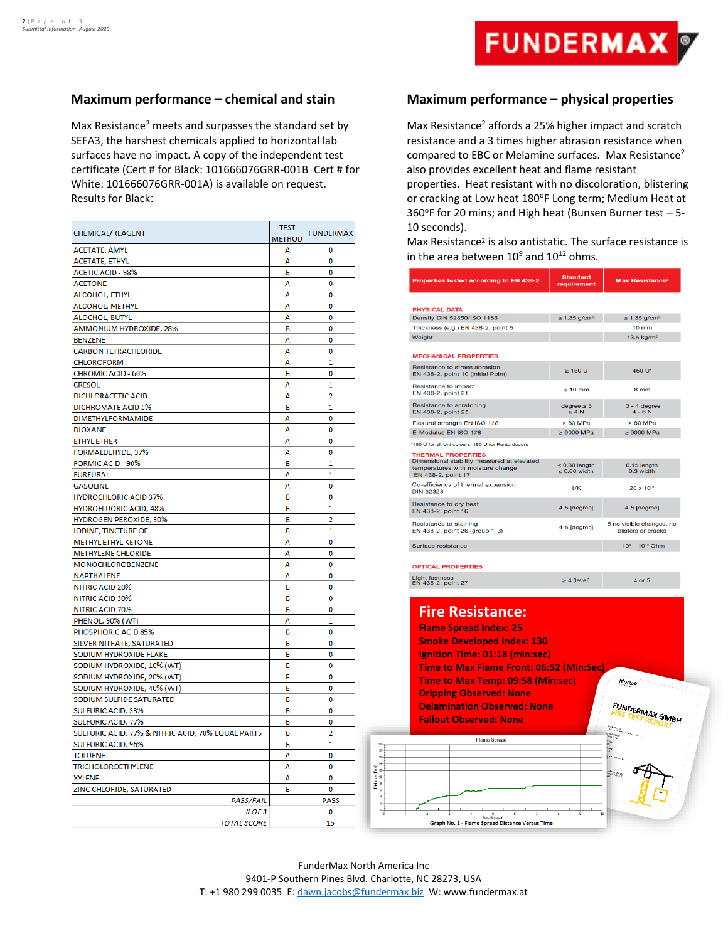

#### **Maximum performance – chemical and stain**

Max Resistance<sup>2</sup> meets and surpasses the standard set by SEFA3, the harshest chemicals applied to horizontal lab surfaces have no impact. A copy of the independent test certificate (Cert # for Black: 101666076GRR-001B Cert # for White: 101666076GRR-001A) is available on request. Results for Black:

| CHEMICAL/REAGENT                                  | TEST          | <b>FUNDERMAX</b> |
|---------------------------------------------------|---------------|------------------|
|                                                   | <b>METHOD</b> |                  |
| <b>ACETATE, AMYL</b>                              | А             | 0                |
| <b>ACETATE, ETHYL</b>                             | А             | 0                |
| <b>ACETIC ACID - 98%</b>                          | B             | 0                |
| <b>ACETONE</b>                                    | A             | 0                |
| <b>ALCOHOL, ETHYL</b>                             | А             | 0                |
| <b>ALCOHOL, METHYL</b>                            | A             | 0                |
| <b>ALOCHOL, BUTYL</b>                             | А             | 0                |
| AMMONIUM HYDROXIDE, 28%                           | в             | 0                |
| <b>BENZENE</b>                                    | A             | 0                |
| <b>CARBON TETRACHLORIDE</b>                       | А             | 0                |
| <b>CHLOROFORM</b>                                 | A             | 1                |
| <b>CHROMIC ACID - 60%</b>                         | В             | 0                |
| <b>CRESOL</b>                                     | А             | 1                |
| <b>DICHLORACETIC ACID</b>                         | А             | 2                |
| <b>DICHROMATE ACID 5%</b>                         | B             | 1                |
| <b>DIMETHYLFORMAMIDE</b>                          | А             | 0                |
| <b>DIOXANE</b>                                    | A             | 0                |
| <b>ETHYL ETHER</b>                                | А             | 0                |
| FORMALDEHYDE, 37%                                 | A             | 0                |
|                                                   |               |                  |
| FORMIC ACID - 90%                                 | B             | 1                |
| <b>FURFURAL</b>                                   | А             | 1                |
| <b>GASOLINE</b>                                   | A             | 0                |
| <b>HYDROCHLORIC ACID 37%</b>                      | В             | 0                |
| <b>HYDROFLUORIC ACID, 48%</b>                     | B             | 1                |
| <b>HYDROGEN PEROXIDE, 30%</b>                     | B             | $\overline{a}$   |
| <b>IODINE, TINCTURE OF</b>                        | B             | 1                |
| <b>METHYL ETHYL KETONE</b>                        | А             | 0                |
| METHYLENE CHLORIDE                                | A             | 0                |
| MONOCHLOROBENZENE                                 | А             | 0                |
| <b>NAPTHALENE</b>                                 | A             | 0                |
| <b>NITRIC ACID 20%</b>                            | В             | 0                |
| <b>NITRIC ACID 30%</b>                            | в             | 0                |
| NITRIC ACID 70%                                   | в             | 0                |
| <b>PHENOL, 90% (WT)</b>                           | А             | 1                |
| PHOSPHORIC ACID 85%                               | В             | 0                |
| SILVER NITRATE, SATURATED                         | В             | 0                |
| SODIUM HYDROXIDE FLAKE                            | В             | 0                |
| SODIUM HYDROXIDE, 10% (WT)                        | B             | 0                |
| SODIUM HYDROXIDE, 20% (WT)                        | B             | 0                |
| SODIUM HYDROXIDE, 40% (WT)                        | в             | 0                |
| SODIUM SULFIDE SATURATED                          | в             | 0                |
| <b>SULFURIC ACID, 33%</b>                         | в             | 0                |
| <b>SULFURIC ACID, 77%</b>                         | в             | 0                |
| SULFURIC ACID, 77% & NITRIC ACID, 70% EQUAL PARTS | B             | 2                |
| <b>SULFURIC ACID, 96%</b>                         | в             | 1                |
| <b>TOLUENE</b>                                    | А             | 0                |
| <b>TRICHOLOROETHYLENE</b>                         | А             | 0                |
| <b>XYLENE</b>                                     | А             | 0                |
|                                                   |               |                  |
| ZINC CHLORIDE, SATURATED                          | B             | 0                |
| PASS/FAIL                                         |               | <b>PASS</b>      |
| # OF 3                                            |               | 0                |
| <b>TOTAL SCORE</b>                                |               | 15               |

#### **Maximum performance – physical properties**

Max Resistance<sup>2</sup> affords a 25% higher impact and scratch resistance and a 3 times higher abrasion resistance when compared to EBC or Melamine surfaces. Max Resistance<sup>2</sup> also provides excellent heat and flame resistant

properties. Heat resistant with no discoloration, blistering or cracking at Low heat 180°F Long term; Medium Heat at 360°F for 20 mins; and High heat (Bunsen Burner test - 5-10 seconds).

Max Resistance<sup>2</sup> is also antistatic. The surface resistance is in the area between  $10^9$  and  $10^{12}$  ohms.

| <b>PHYSICAL DATA</b><br>Density DIN 52350/ISO 1183<br>Thickness (e.g.) EN 438-2, point 5<br>Weight<br><b>MECHANICAL PROPERTIES</b><br>Resistance to stress abrasion<br>EN 438-2, point 10 (Initial Point)<br><b>Resistance to impact</b><br>EN 438-2, point 21<br><b>Resistance to scratching</b><br>EN 438-2, point 25<br>Flexural strength EN ISO 178<br>E-Modulus EN ISO 178<br>*450 U for all Uni colours, 150 U for Punto decors<br><b>THERMAL PROPERTIES</b><br>Dimensional stability measured at elevated<br>temperatures with moisture change<br>EN 438-2, point 17<br>Co-efficiency of thermal expansion<br><b>DIN 52328</b><br>Resistance to dry heat<br>EN 438-2, point 16<br>Resistance to staining<br>EN 438-2, point 26 (group 1-3)<br>Surface resistance<br><b>OPTICAL PROPERTIES</b> | $\geq 1.35$ g/cm <sup>3</sup><br>$\geq 150$ U<br>$\leq 10$ mm<br>$degree \geq 3$<br>$\geq 4 N$<br>$\geq 80$ MPa<br>$\geq 9000$ MPa<br>$\leq 0.30$ length<br>$\leq 0.60$ width<br>1/K<br>4-5 [degree]<br>4-5 [degree] | $\geq 1.35$ g/cm <sup>3</sup><br>$10 \text{ mm}$<br>13.5 $k\alpha/m^2$<br>450 U*<br>8 mm<br>$3 - 4$ degree<br>$4 - 6\bar{N}$<br>$\geq 80$ MPa<br>$\geq 9000$ MPa<br>0.15 length<br>0.3 width<br>$20 \times 10^{-6}$<br>4-5 [degree]<br>blisters or cracks |
|------------------------------------------------------------------------------------------------------------------------------------------------------------------------------------------------------------------------------------------------------------------------------------------------------------------------------------------------------------------------------------------------------------------------------------------------------------------------------------------------------------------------------------------------------------------------------------------------------------------------------------------------------------------------------------------------------------------------------------------------------------------------------------------------------|----------------------------------------------------------------------------------------------------------------------------------------------------------------------------------------------------------------------|-----------------------------------------------------------------------------------------------------------------------------------------------------------------------------------------------------------------------------------------------------------|
|                                                                                                                                                                                                                                                                                                                                                                                                                                                                                                                                                                                                                                                                                                                                                                                                      |                                                                                                                                                                                                                      |                                                                                                                                                                                                                                                           |
|                                                                                                                                                                                                                                                                                                                                                                                                                                                                                                                                                                                                                                                                                                                                                                                                      |                                                                                                                                                                                                                      |                                                                                                                                                                                                                                                           |
|                                                                                                                                                                                                                                                                                                                                                                                                                                                                                                                                                                                                                                                                                                                                                                                                      |                                                                                                                                                                                                                      |                                                                                                                                                                                                                                                           |
|                                                                                                                                                                                                                                                                                                                                                                                                                                                                                                                                                                                                                                                                                                                                                                                                      |                                                                                                                                                                                                                      |                                                                                                                                                                                                                                                           |
|                                                                                                                                                                                                                                                                                                                                                                                                                                                                                                                                                                                                                                                                                                                                                                                                      |                                                                                                                                                                                                                      |                                                                                                                                                                                                                                                           |
|                                                                                                                                                                                                                                                                                                                                                                                                                                                                                                                                                                                                                                                                                                                                                                                                      |                                                                                                                                                                                                                      | 5 no visible changes, no                                                                                                                                                                                                                                  |
|                                                                                                                                                                                                                                                                                                                                                                                                                                                                                                                                                                                                                                                                                                                                                                                                      |                                                                                                                                                                                                                      |                                                                                                                                                                                                                                                           |
|                                                                                                                                                                                                                                                                                                                                                                                                                                                                                                                                                                                                                                                                                                                                                                                                      |                                                                                                                                                                                                                      |                                                                                                                                                                                                                                                           |
|                                                                                                                                                                                                                                                                                                                                                                                                                                                                                                                                                                                                                                                                                                                                                                                                      |                                                                                                                                                                                                                      |                                                                                                                                                                                                                                                           |
|                                                                                                                                                                                                                                                                                                                                                                                                                                                                                                                                                                                                                                                                                                                                                                                                      |                                                                                                                                                                                                                      |                                                                                                                                                                                                                                                           |
|                                                                                                                                                                                                                                                                                                                                                                                                                                                                                                                                                                                                                                                                                                                                                                                                      |                                                                                                                                                                                                                      |                                                                                                                                                                                                                                                           |
|                                                                                                                                                                                                                                                                                                                                                                                                                                                                                                                                                                                                                                                                                                                                                                                                      |                                                                                                                                                                                                                      |                                                                                                                                                                                                                                                           |
|                                                                                                                                                                                                                                                                                                                                                                                                                                                                                                                                                                                                                                                                                                                                                                                                      |                                                                                                                                                                                                                      |                                                                                                                                                                                                                                                           |
|                                                                                                                                                                                                                                                                                                                                                                                                                                                                                                                                                                                                                                                                                                                                                                                                      |                                                                                                                                                                                                                      |                                                                                                                                                                                                                                                           |
|                                                                                                                                                                                                                                                                                                                                                                                                                                                                                                                                                                                                                                                                                                                                                                                                      |                                                                                                                                                                                                                      |                                                                                                                                                                                                                                                           |
|                                                                                                                                                                                                                                                                                                                                                                                                                                                                                                                                                                                                                                                                                                                                                                                                      |                                                                                                                                                                                                                      |                                                                                                                                                                                                                                                           |
|                                                                                                                                                                                                                                                                                                                                                                                                                                                                                                                                                                                                                                                                                                                                                                                                      |                                                                                                                                                                                                                      |                                                                                                                                                                                                                                                           |
|                                                                                                                                                                                                                                                                                                                                                                                                                                                                                                                                                                                                                                                                                                                                                                                                      |                                                                                                                                                                                                                      | $10^9 - 10^{12}$ Ohm                                                                                                                                                                                                                                      |
|                                                                                                                                                                                                                                                                                                                                                                                                                                                                                                                                                                                                                                                                                                                                                                                                      |                                                                                                                                                                                                                      |                                                                                                                                                                                                                                                           |
| Light fastness<br>EN 438-2, point 27                                                                                                                                                                                                                                                                                                                                                                                                                                                                                                                                                                                                                                                                                                                                                                 | $\geq 4$ [level]                                                                                                                                                                                                     | 4 or 5                                                                                                                                                                                                                                                    |
| <b>Fire Resistance:</b><br><b>Flame Spread Index: 25</b><br><b>Smoke Developed Index: 130</b><br>Ignition Time: 01:18 (min:sec)<br>Time to Max Flame Front: 06:52 (Min:Sec)<br>Time to Max Temp: 09:58 (Min:sec)<br><b>Dripping Observed: None</b><br><b>Delamination Observed: None</b>                                                                                                                                                                                                                                                                                                                                                                                                                                                                                                             |                                                                                                                                                                                                                      | <b>Intertek</b>                                                                                                                                                                                                                                           |
| <b>Fallout Observed: None</b>                                                                                                                                                                                                                                                                                                                                                                                                                                                                                                                                                                                                                                                                                                                                                                        |                                                                                                                                                                                                                      | <u>FUNDERMAX GMBH</u>                                                                                                                                                                                                                                     |
| <b>Flame Spread</b>                                                                                                                                                                                                                                                                                                                                                                                                                                                                                                                                                                                                                                                                                                                                                                                  |                                                                                                                                                                                                                      |                                                                                                                                                                                                                                                           |
|                                                                                                                                                                                                                                                                                                                                                                                                                                                                                                                                                                                                                                                                                                                                                                                                      |                                                                                                                                                                                                                      |                                                                                                                                                                                                                                                           |
|                                                                                                                                                                                                                                                                                                                                                                                                                                                                                                                                                                                                                                                                                                                                                                                                      |                                                                                                                                                                                                                      |                                                                                                                                                                                                                                                           |
|                                                                                                                                                                                                                                                                                                                                                                                                                                                                                                                                                                                                                                                                                                                                                                                                      |                                                                                                                                                                                                                      | <b>DATE LIBRARY</b>                                                                                                                                                                                                                                       |
|                                                                                                                                                                                                                                                                                                                                                                                                                                                                                                                                                                                                                                                                                                                                                                                                      |                                                                                                                                                                                                                      |                                                                                                                                                                                                                                                           |
|                                                                                                                                                                                                                                                                                                                                                                                                                                                                                                                                                                                                                                                                                                                                                                                                      |                                                                                                                                                                                                                      |                                                                                                                                                                                                                                                           |

Time (Minutes)<br>Graph No. 1 - Flame Spread Distance Versus Time

FunderMax North America Inc 9401-P Southern Pines Blvd. Charlotte, NC 28273, USA T: +1 980 299 0035 E[: dawn.jacobs@fundermax.biz](mailto:dawn.jacobs@fundermax.biz) W: www.fundermax.at